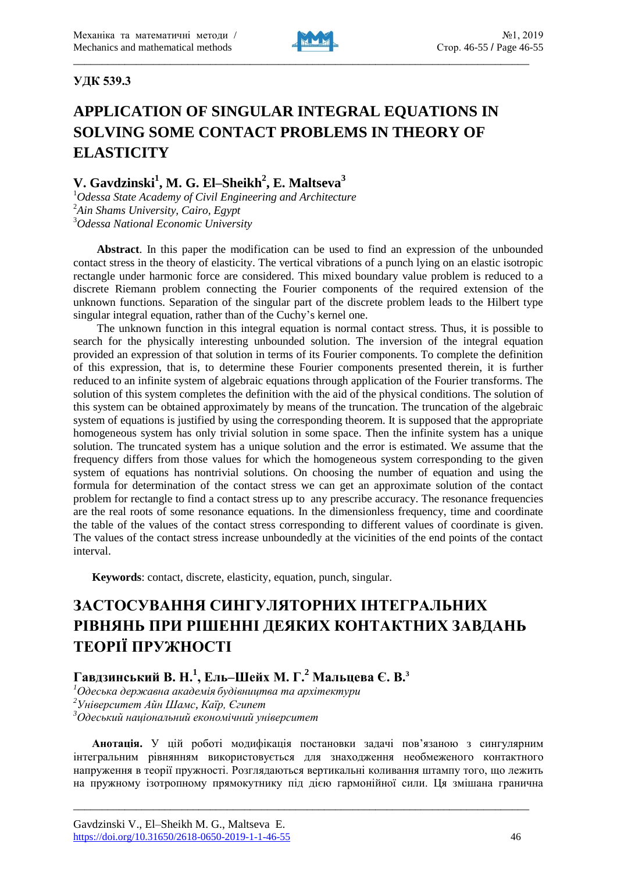

### **УДК 539.3**

# **APPLICATION OF SINGULAR INTEGRAL EQUATIONS IN SOLVING SOME CONTACT PROBLEMS IN THEORY OF ELASTICITY**

## **V. Gavdzinski<sup>1</sup> , M. G. El–Sheikh<sup>2</sup> , E. Maltseva<sup>3</sup>**

<sup>1</sup>*Odessa State Academy of Civil Engineering and Architecture* <sup>2</sup>*Ain Shams University, Cairo, Egypt* <sup>3</sup>*Odessa National Economic University*

**Abstract**. In this paper the modification can be used to find an expression of the unbounded contact stress in the theory of elasticity. The vertical vibrations of a punch lying on an elastic isotropic rectangle under harmonic force are considered. This mixed boundary value problem is reduced to a discrete Riemann problem connecting the Fourier components of the required extension of the unknown functions. Separation of the singular part of the discrete problem leads to the Hilbert type singular integral equation, rather than of the Cuchy's kernel one.

The unknown function in this integral equation is normal contact stress. Thus, it is possible to search for the physically interesting unbounded solution. The inversion of the integral equation provided an expression of that solution in terms of its Fourier components. To complete the definition of this expression, that is, to determine these Fourier components presented therein, it is further reduced to an infinite system of algebraic equations through application of the Fourier transforms. The solution of this system completes the definition with the aid of the physical conditions. The solution of this system can be obtained approximately by means of the truncation. The truncation of the algebraic system of equations is justified by using the corresponding theorem. It is supposed that the appropriate homogeneous system has only trivial solution in some space. Then the infinite system has a unique solution. The truncated system has a unique solution and the error is estimated. We assume that the frequency differs from those values for which the homogeneous system corresponding to the given system of equations has nontrivial solutions. On choosing the number of equation and using the formula for determination of the contact stress we can get an approximate solution of the contact problem for rectangle to find a contact stress up to any prescribe accuracy. The resonance frequencies are the real roots of some resonance equations. In the dimensionless frequency, time and coordinate the table of the values of the contact stress corresponding to different values of coordinate is given. The values of the contact stress increase unboundedly at the vicinities of the end points of the contact interval.

**Keywords**: contact, discrete, elasticity, equation, punch, singular.

# **ЗАСТОСУВАННЯ СИНГУЛЯТОРНИХ ІНТЕГРАЛЬНИХ РІВНЯНЬ ПРИ РІШЕННІ ДЕЯКИХ КОНТАКТНИХ ЗАВДАНЬ ТЕОРІЇ ПРУЖНОСТІ**

## **Гавдзинський В. Н.<sup>1</sup> , Ель–Шейх М. Г.<sup>2</sup> Мальцева Є. В.<sup>3</sup>**

*<sup>1</sup>Одеська державна академія будівництва та архітектури*

*<sup>2</sup>Університет Айн Шамс, Каїр, Єгипет*

*<sup>3</sup>Одеський національний економічний університет*

**Анотація.** У цій роботі модифікація постановки задачі пов'язаною з сингулярним інтегральним рівнянням використовується для знаходження необмеженого контактного напруження в теорії пружності. Розглядаються вертикальні коливання штампу того, що лежить на пружному ізотропному прямокутнику під дією гармонійної сили. Ця змішана гранична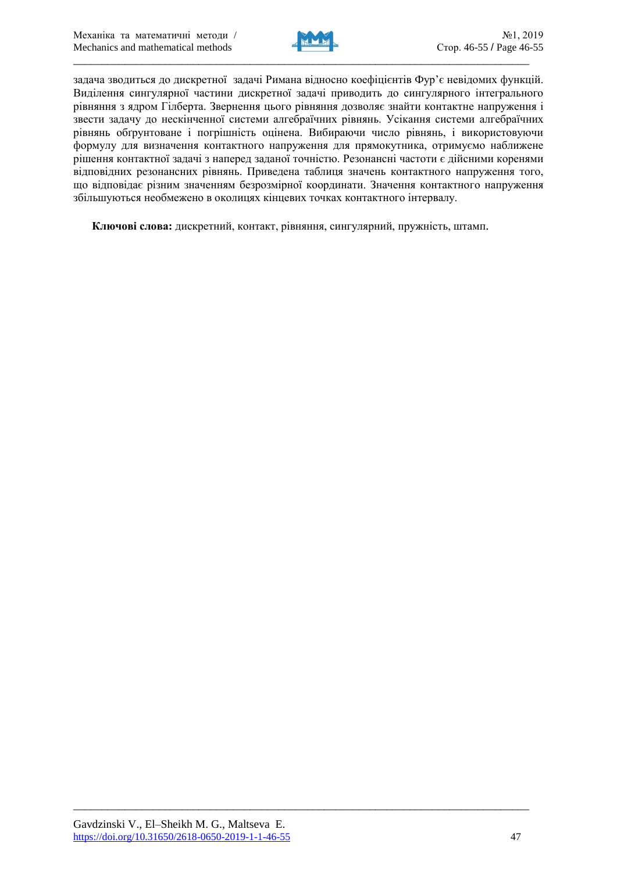

задача зводиться до дискретної задачі Римана відносно коефіцієнтів Фур'є невідомих функцій. Виділення сингулярної частини дискретної задачі приводить до сингулярного інтегрального рівняння з ядром Гілберта. Звернення цього рівняння дозволяє знайти контактне напруження і звести задачу до нескінченної системи алгебраїчних рівнянь. Усікання системи алгебраїчних рівнянь обґрунтоване і погрішність оцінена. Вибираючи число рівнянь, і використовуючи формулу для визначення контактного напруження для прямокутника, отримуємо наближене рішення контактної задачі з наперед заданої точністю. Резонансні частоти є дійсними коренями відповідних резонансних рівнянь. Приведена таблиця значень контактного напруження того, що відповідає різним значенням безрозмірної координати. Значення контактного напруження збільшуються необмежено в околицях кінцевих точках контактного інтервалу.

**Ключові слова:** дискретний, контакт, рівняння, сингулярний, пружність, штамп.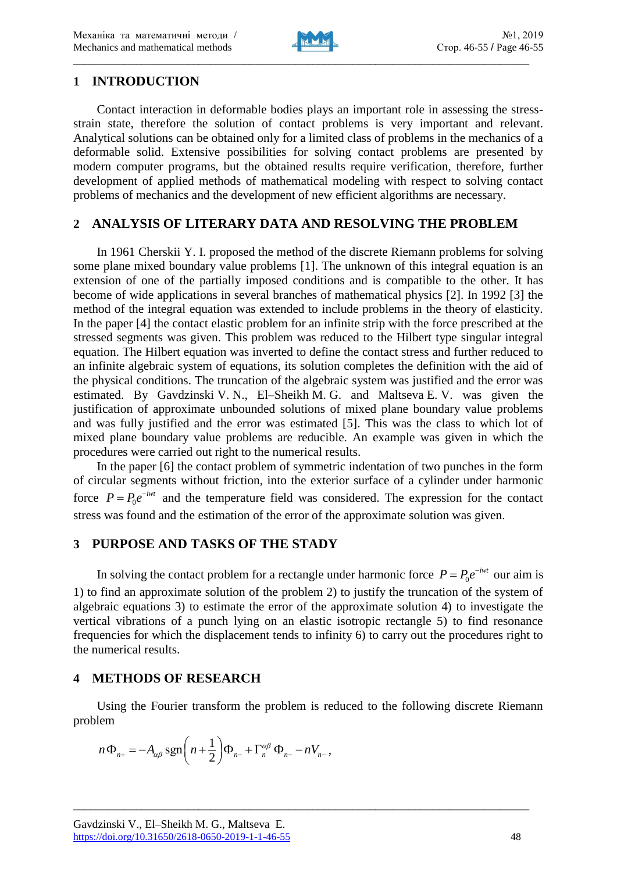

### **1 INTRODUCTION**

Contact interaction in deformable bodies plays an important role in assessing the stressstrain state, therefore the solution of contact problems is very important and relevant. Analytical solutions can be obtained only for a limited class of problems in the mechanics of a deformable solid. Extensive possibilities for solving contact problems are presented by modern computer programs, but the obtained results require verification, therefore, further development of applied methods of mathematical modeling with respect to solving contact problems of mechanics and the development of new efficient algorithms are necessary.

#### **2 ANALYSIS OF LITERARY DATA AND RESOLVING THE PROBLEM**

In 1961 Cherskii Y. I. proposed the method of the discrete Riemann problems for solving some plane mixed boundary value problems [1]. The unknown of this integral equation is an extension of one of the partially imposed conditions and is compatible to the other. It has become of wide applications in several branches of mathematical physics [2]. In 1992 [3] the method of the integral equation was extended to include problems in the theory of elasticity. In the paper [4] the contact elastic problem for an infinite strip with the force prescribed at the stressed segments was given. This problem was reduced to the Hilbert type singular integral equation. The Hilbert equation was inverted to define the contact stress and further reduced to an infinite algebraic system of equations, its solution completes the definition with the aid of the physical conditions. The truncation of the algebraic system was justified and the error was estimated. By Gavdzinski V. N., El–Sheikh M. G. and Maltseva E. V. was given the justification of approximate unbounded solutions of mixed plane boundary value problems and was fully justified and the error was estimated [5]. This was the class to which lot of mixed plane boundary value problems are reducible. An example was given in which the procedures were carried out right to the numerical results.

In the paper [6] the contact problem of symmetric indentation of two punches in the form of circular segments without friction, into the exterior surface of a cylinder under harmonic force  $P = P_0 e^{-iwt}$  and the temperature field was considered. The expression for the contact stress was found and the estimation of the error of the approximate solution was given.

## **3 PURPOSE AND TASKS OF THE STADY**

In solving the contact problem for a rectangle under harmonic force  $P = P_0 e^{-iwt}$  our aim is 1) to find an approximate solution of the problem 2) to justify the truncation of the system of algebraic equations 3) to estimate the error of the approximate solution 4) to investigate the vertical vibrations of a punch lying on an elastic isotropic rectangle 5) to find resonance frequencies for which the displacement tends to infinity 6) to carry out the procedures right to the numerical results.

## **4 METHODS OF RESEARCH**

Using the Fourier transform the problem is reduced to the following discrete Riemann problem

$$
n\Phi_{n+}=-A_{\alpha\beta}\operatorname{sgn}\left(n+\frac{1}{2}\right)\Phi_{n-}+\Gamma_{n}^{\alpha\beta}\Phi_{n-}-nV_{n-},
$$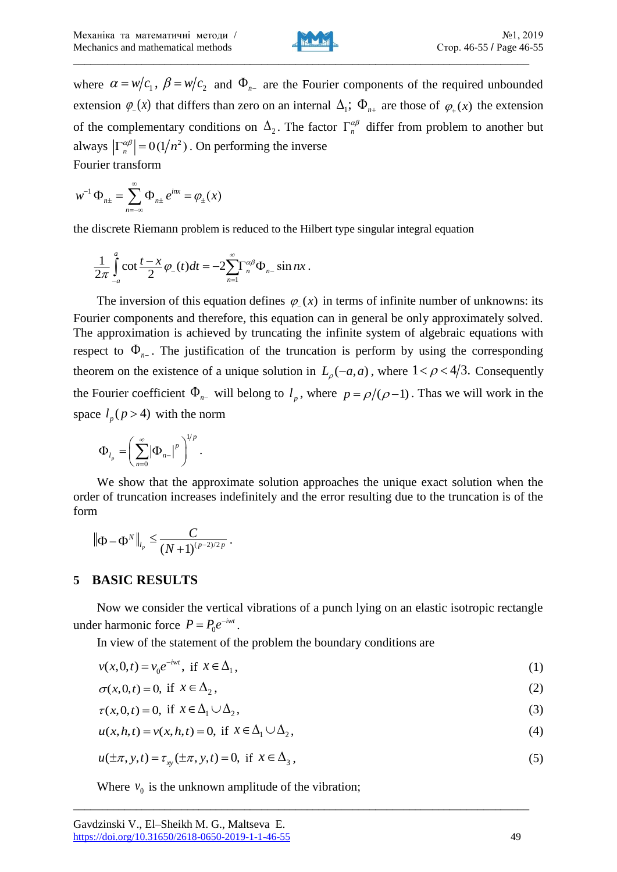

where  $\alpha = w/c_1$ ,  $\beta = w/c_2$  and  $\Phi_{n-}$  are the Fourier components of the required unbounded extension  $\varphi(x)$  that differs than zero on an internal  $\Delta_1$ ;  $\Phi_{n+}$  are those of  $\varphi_+(x)$  the extension of the complementary conditions on  $\Delta_2$ . The factor  $\Gamma_n^{\alpha\beta}$  differ from problem to another but always  $\left|\Gamma_n^{\alpha\beta}\right| = O(1/n^2)$ . On performing the inverse Fourier transform

$$
w^{-1}\Phi_{n\pm} = \sum_{n=-\infty}^{\infty} \Phi_{n\pm} e^{inx} = \varphi_{\pm}(x)
$$

the discrete Riemann problem is reduced to the Hilbert type singular integral equation

$$
\frac{1}{2\pi}\int_{-a}^{a}\cot\frac{t-x}{2}\varphi_{-}(t)dt=-2\sum_{n=1}^{\infty}\Gamma_{n}^{\alpha\beta}\Phi_{n-}\sin nx.
$$

The inversion of this equation defines  $\varphi(x)$  in terms of infinite number of unknowns: its Fourier components and therefore, this equation can in general be only approximately solved. The approximation is achieved by truncating the infinite system of algebraic equations with respect to  $\Phi_{n-}$ . The justification of the truncation is perform by using the corresponding theorem on the existence of a unique solution in  $L_{\rho}(-a, a)$ , where  $1 < \rho < 4/3$ . Consequently the Fourier coefficient  $\Phi_{n-}$  will belong to  $l_p$ , where  $p = \rho/(\rho-1)$ . Thas we will work in the space  $l_p$  ( $p > 4$ ) with the norm

$$
\Phi_{l_p} = \left(\sum_{n=0}^{\infty} \left|\Phi_{n-}\right|^p\right)^{1/p}.
$$

We show that the approximate solution approaches the unique exact solution when the order of truncation increases indefinitely and the error resulting due to the truncation is of the form

$$
\|\Phi - \Phi^N\|_{l_p} \leq \frac{C}{(N+1)^{(p-2)/2p}}.
$$

#### **5 BASIC RESULTS**

Now we consider the vertical vibrations of a punch lying on an elastic isotropic rectangle under harmonic force  $P = P_0 e^{-iwt}$ .

In view of the statement of the problem the boundary conditions are

$$
v(x,0,t) = v_0 e^{-iwt}, \text{ if } x \in \Delta_1,\tag{1}
$$

$$
\sigma(x,0,t) = 0, \text{ if } x \in \Delta_2,
$$
\n<sup>(2)</sup>

$$
\tau(x,0,t) = 0, \text{ if } x \in \Delta_1 \cup \Delta_2,\tag{3}
$$

$$
u(x, h, t) = v(x, h, t) = 0, \text{ if } x \in \Delta_1 \cup \Delta_2,
$$
\n
$$
(4)
$$

$$
u(\pm \pi, y, t) = \tau_{xy}(\pm \pi, y, t) = 0, \text{ if } x \in \Delta_3,
$$
 (5)

\_\_\_\_\_\_\_\_\_\_\_\_\_\_\_\_\_\_\_\_\_\_\_\_\_\_\_\_\_\_\_\_\_\_\_\_\_\_\_\_\_\_\_\_\_\_\_\_\_\_\_\_\_\_\_\_\_\_\_\_\_\_\_\_\_\_\_\_\_\_\_\_\_\_\_\_\_\_\_\_

Where  $v_0$  is the unknown amplitude of the vibration;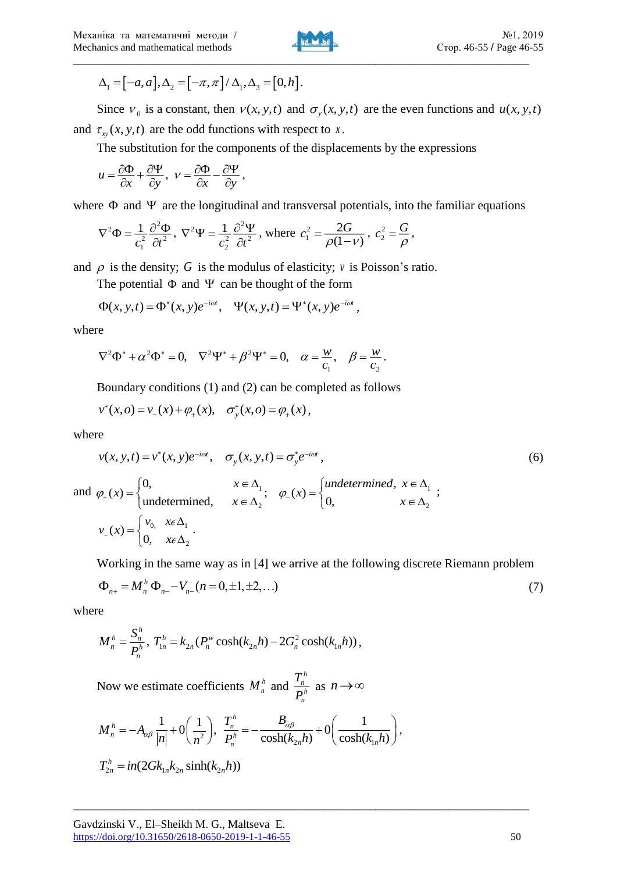

$$
\Delta_1 = [-a, a], \Delta_2 = [-\pi, \pi] / \Delta_1, \Delta_3 = [0, h].
$$

Since  $v_0$  is a constant, then  $v(x, y, t)$  and  $\sigma_y(x, y, t)$  are the even functions and  $u(x, y, t)$ and  $\tau_{xy}(x, y, t)$  are the odd functions with respect to *x*.

The substitution for the components of the displacements by the expressions

$$
u = \frac{\partial \Phi}{\partial x} + \frac{\partial \Psi}{\partial y}, \quad v = \frac{\partial \Phi}{\partial x} - \frac{\partial \Psi}{\partial y},
$$

where  $\Phi$  and  $\Psi$  are the longitudinal and transversal potentials, into the familiar equations

$$
\nabla^2 \Phi = \frac{1}{c_1^2} \frac{\partial^2 \Phi}{\partial t^2}, \ \nabla^2 \Psi = \frac{1}{c_2^2} \frac{\partial^2 \Psi}{\partial t^2}, \text{ where } c_1^2 = \frac{2G}{\rho(1-\nu)}, \ c_2^2 = \frac{G}{\rho},
$$

and  $\rho$  is the density; G is the modulus of elasticity;  $\nu$  is Poisson's ratio.

The potential  $\Phi$  and  $\Psi$  can be thought of the form

$$
\Phi(x, y, t) = \Phi^*(x, y)e^{-i\omega t}, \quad \Psi(x, y, t) = \Psi^*(x, y)e^{-i\omega t},
$$

where

$$
\nabla^2 \Phi^* + \alpha^2 \Phi^* = 0, \quad \nabla^2 \Psi^* + \beta^2 \Psi^* = 0, \quad \alpha = \frac{w}{c_1}, \quad \beta = \frac{w}{c_2}.
$$

Boundary conditions (1) and (2) can be completed as follows

$$
v^*(x, o) = v_-(x) + \varphi_+(x), \quad \sigma^*_y(x, o) = \varphi_+(x),
$$

 $\begin{bmatrix} 0, & x \epsilon \Delta \end{bmatrix}$ 

where

Δ<sub>1</sub> = [-α, α], Δ<sub>2</sub> = [-π, π] / Δ, Δ<sub>3</sub> = [0, h].  
\nSince 
$$
\nu_0
$$
 is a constant, then  $\nu(x, y, t)$  and  $\sigma_y(x, y, t)$  are the even functions and  $u(x, y, t)$   
\nand  $\tau_w(x, y, t)$  are the odd functions with respect to *x*.  
\nThe substitution for the components of the displacements by the expressions  
\n $u = \frac{2\delta_0}{c\lambda} + \frac{\delta_1}{c\lambda y}, \quad v = \frac{2\delta_1}{c\lambda} - \frac{\delta_1}{c\lambda y},$   
\nwhere Φ and Ψ *u* are the longitudinal and transversal potentials, into the familiar equations  
\n
$$
\nabla^2 \Phi = \frac{1}{c_1^2} \frac{\partial^2 \Phi}{\partial t^2}, \quad \nabla^2 \Psi = \frac{1}{c_2^2} \frac{\partial^2 \Psi}{\partial t^2}, \text{ where } c_1^2 = \frac{2G}{\rho(1-\nu)}, c_2^2 = \frac{G}{\rho},
$$
  
\nand ρ is the density; G is the modulus of elasticity; *v* is Poisson's ratio.  
\nThe potential Φ and Ψ *c* an be thought of the form  
\n
$$
\Phi(x, y, t) = \Phi^*(x, y)e^{-i\omega t}, \quad \Psi(x, y, t) = \Psi^*(x, y)e^{-i\omega t},
$$
  
\nwhere  
\n
$$
\nabla^2 \Phi^* + \alpha^2 \Phi^* = 0, \quad \nabla^2 \Psi^* + \beta^2 \Psi^* = 0, \quad \alpha = \frac{w}{c_1}, \quad \beta = \frac{w}{c_2}.
$$
  
\nBoundary conditions (1) and (2) can be completed as follows  
\n
$$
v^*(x, o) = v_-(x) + \varphi_*(x), \quad \sigma_y^*(x, o) = \varphi_*(x),
$$
  
\nwhere  
\n
$$
v(x, y, t) = v^*(x, y)e^{-i\omega t}, \quad \sigma_y(x, y, t) = \sigma_y^* e^{-i\omega t},
$$
  
\nand  $\varphi_*(x) = \begin{cases} 0, \quad x \in \Delta_1; \quad \varphi_-(x) = \begin{cases} \tan d \neq \tan \theta, & x \in \Delta$ 

Working in the same way as in [4] we arrive at the following discrete Riemann problem

$$
\Phi_{n+} = M_n^h \Phi_{n-} - V_{n-}(n=0, \pm 1, \pm 2, \ldots) \tag{7}
$$

where

$$
M_n^h = \frac{S_n^h}{P_n^h}, T_{1n}^h = k_{2n}(P_n^w \cosh(k_{2n} h) - 2G_n^2 \cosh(k_{1n} h)),
$$

Now we estimate coefficients  $M_n^h$  and *h n h n T*

Now we estimate coefficients 
$$
M_n^h
$$
 and  $\frac{I_n}{P_n^h}$  as  $n \to \infty$   
\n
$$
M_n^h = -A_{\alpha\beta} \frac{1}{|n|} + O\left(\frac{1}{n^2}\right), \quad \frac{T_n^h}{P_n^h} = -\frac{B_{\alpha\beta}}{\cosh(k_{2n}h)} + O\left(\frac{1}{\cosh(k_{1n}h)}\right),
$$
\n
$$
T_{2n}^h = in(2Gk_{1n}k_{2n}\sinh(k_{2n}h))
$$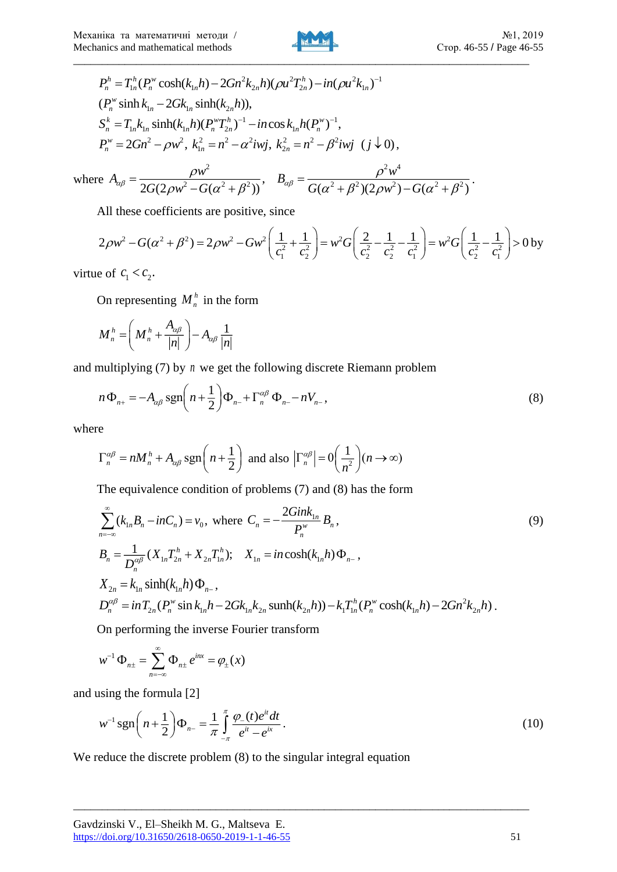

$$
P_n^h = T_{1n}^h(P_n^w \cosh(k_{1n}h) - 2Gn^2k_{2n}h)(\rho u^2 T_{2n}^h) - in(\rho u^2k_{1n})^{-1}
$$
  
\n( $P_n^w \sinh k_{1n} - 2Gk_{1n} \sinh(k_{2n}h)$ ),  
\n $S_n^k = T_{1n}k_{1n} \sinh(k_{1n}h)(P_n^w T_{2n}^h)^{-1} - in\cos k_{1n}h(P_n^w)^{-1},$   
\n $P_n^w = 2Gn^2 - \rho w^2, k_{1n}^2 = n^2 - \alpha^2 i w j, k_{2n}^2 = n^2 - \beta^2 i w j$  (j √ 0),  
\nre  $A_{\alpha\beta} = \frac{\rho w^2}{2\beta(\beta - \beta - \beta^2)} , B_{\alpha\beta} = \frac{\rho^2 w^4}{\beta(\beta - \beta - \beta^2)}.$ 

$$
B_{n} = I_{1n} \kappa_{1n} \sinh(\kappa_{1n} n) (I_{n} I_{2n}) - \sinh(\kappa_{1n} n) (I_{n} I_{2n}) ,
$$
  
\n
$$
P_{n}^{w} = 2Gn^{2} - \rho w^{2}, k_{1n}^{2} = n^{2} - \alpha^{2} i w j, k_{2n}^{2} = n^{2} - \beta^{2} i w j \ (j \downarrow 0),
$$
  
\nwhere 
$$
A_{\alpha\beta} = \frac{\rho w^{2}}{2G(2\rho w^{2} - G(\alpha^{2} + \beta^{2}))}, B_{\alpha\beta} = \frac{\rho^{2} w^{4}}{G(\alpha^{2} + \beta^{2})(2\rho w^{2}) - G(\alpha^{2} + \beta^{2})}.
$$

All these coefficients are positive, since

$$
2\rho w^2 - G(\alpha^2 + \beta^2) = 2\rho w^2 - Gw^2 \left(\frac{1}{c_1^2} + \frac{1}{c_2^2}\right) = w^2 G\left(\frac{2}{c_2^2} - \frac{1}{c_2^2} - \frac{1}{c_1^2}\right) = w^2 G\left(\frac{1}{c_2^2} - \frac{1}{c_1^2}\right) > 0
$$
 by

virtue of  $c_1 < c_2$ .

On representing  $M_n^h$  in the form

$$
M_n^h = \left(M_n^h + \frac{A_{\alpha\beta}}{|n|}\right) - A_{\alpha\beta} \frac{1}{|n|}
$$

and multiplying (7) by *n* we get the following discrete Riemann problem

$$
n\Phi_{n+} = -A_{\alpha\beta}\operatorname{sgn}\left(n+\frac{1}{2}\right)\Phi_{n-} + \Gamma_n^{\alpha\beta}\Phi_{n-} - nV_{n-},
$$
\n(8)

where

$$
\Gamma_n^{\alpha\beta} = nM_n^h + A_{\alpha\beta} \operatorname{sgn}\left(n + \frac{1}{2}\right) \text{ and also } \left|\Gamma_n^{\alpha\beta}\right| = 0 \left(\frac{1}{n^2}\right)(n \to \infty)
$$

The equivalence condition of problems (7) and (8) has the form

$$
\sum_{n=-\infty}^{\infty} (k_{1n}B_n - inC_n) = v_0, \text{ where } C_n = -\frac{2Gink_{1n}}{P_n^w}B_n,
$$
\n
$$
B_n = \frac{1}{D_n^{\alpha\beta}} (X_{1n}T_{2n}^h + X_{2n}T_{1n}^h); \quad X_{1n} = in \cosh(k_{1n}h)\Phi_{n-},
$$
\n
$$
X_{2n} = k_{1n} \sinh(k_{1n}h)\Phi_{n-},
$$
\n
$$
D_n^{\alpha\beta} = in T_{2n}(P_n^w \sin k_{1n}h - 2Gk_{1n}k_{2n} \sinh(k_{2n}h)) - k_1 T_{1n}^h(P_n^w \cosh(k_{1n}h) - 2Gn^2k_{2n}h).
$$
\n(9)

On performing the inverse Fourier transform

$$
w^{-1}\Phi_{n\pm} = \sum_{n=-\infty}^{\infty} \Phi_{n\pm} e^{inx} = \varphi_{\pm}(x)
$$

and using the formula [2]

$$
w^{-1} \operatorname{sgn}\left(n + \frac{1}{2}\right) \Phi_{n-} = \frac{1}{\pi} \int_{-\pi}^{\pi} \frac{\varphi_{-}(t)e^{it} dt}{e^{it} - e^{ix}}.
$$
 (10)

\_\_\_\_\_\_\_\_\_\_\_\_\_\_\_\_\_\_\_\_\_\_\_\_\_\_\_\_\_\_\_\_\_\_\_\_\_\_\_\_\_\_\_\_\_\_\_\_\_\_\_\_\_\_\_\_\_\_\_\_\_\_\_\_\_\_\_\_\_\_\_\_\_\_\_\_\_\_\_\_

We reduce the discrete problem  $(8)$  to the singular integral equation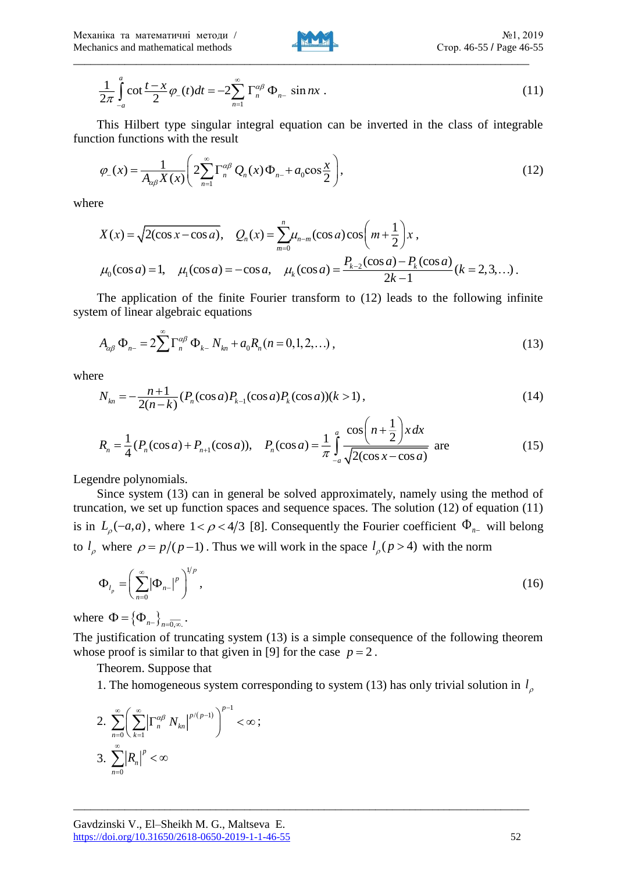

$$
\frac{1}{2\pi} \int_{-a}^{a} \cot \frac{t - x}{2} \varphi_{-}(t) dt = -2 \sum_{n=1}^{\infty} \Gamma_{n}^{\alpha \beta} \Phi_{n-} \sin nx \ . \tag{11}
$$

This Hilbert type singular integral equation can be inverted in the class of integrable function functions with the result

$$
\varphi_{-}(x) = \frac{1}{A_{\alpha\beta}X(x)} \left( 2\sum_{n=1}^{\infty} \Gamma_n^{\alpha\beta} Q_n(x) \Phi_{n-} + a_0 \cos \frac{x}{2} \right),\tag{12}
$$

where

$$
X(x) = \sqrt{2(\cos x - \cos a)}, \quad Q_n(x) = \sum_{m=0}^n \mu_{n-m}(\cos a) \cos \left(m + \frac{1}{2}\right)x,
$$
  

$$
\mu_0(\cos a) = 1, \quad \mu_1(\cos a) = -\cos a, \quad \mu_k(\cos a) = \frac{P_{k-2}(\cos a) - P_k(\cos a)}{2k - 1} (k = 2, 3, ...).
$$

The application of the finite Fourier transform to (12) leads to the following infinite system of linear algebraic equations

$$
A_{\alpha\beta} \Phi_{n-} = 2 \sum_{n=0}^{\infty} \Gamma_{n}^{\alpha\beta} \Phi_{k-} N_{kn} + a_0 R_n (n = 0, 1, 2, ...), \qquad (13)
$$

where

$$
N_{kn} = -\frac{n+1}{2(n-k)} (P_n(\cos a) P_{k-1}(\cos a) P_k(\cos a)) (k>1),
$$
\n(14)

$$
R_n = \frac{1}{4} (P_n(\cos a) + P_{n+1}(\cos a)), \quad P_n(\cos a) = \frac{1}{\pi} \int_{-a}^{a} \frac{\cos \left(n + \frac{1}{2}\right) x \, dx}{\sqrt{2(\cos x - \cos a)}} \text{ are } (15)
$$

Legendre polynomials.

Since system (13) can in general be solved approximately, namely using the method of truncation, we set up function spaces and sequence spaces. The solution (12) of equation (11) is in  $L_{\rho}(-a,a)$ , where  $1 < \rho < 4/3$  [8]. Consequently the Fourier coefficient  $\Phi_{n-}$  will belong to  $l_\rho$  where  $\rho = p/(p-1)$ . Thus we will work in the space  $l_\rho$  ( $p > 4$ ) with the norm

$$
\Phi_{l_p} = \left(\sum_{n=0}^{\infty} |\Phi_{n-}|^p\right)^{1/p},\tag{16}
$$

where  $\Phi = {\Phi_{n-}}_{n=0,\infty}$ .

The justification of truncating system (13) is a simple consequence of the following theorem whose proof is similar to that given in [9] for the case  $p = 2$ .

\_\_\_\_\_\_\_\_\_\_\_\_\_\_\_\_\_\_\_\_\_\_\_\_\_\_\_\_\_\_\_\_\_\_\_\_\_\_\_\_\_\_\_\_\_\_\_\_\_\_\_\_\_\_\_\_\_\_\_\_\_\_\_\_\_\_\_\_\_\_\_\_\_\_\_\_\_\_\_\_

Theorem. Suppose that

1. The homogeneous system corresponding to system (13) has only trivial solution in  $l_{\rho}$ 

$$
2. \sum_{n=0}^{\infty} \left( \sum_{k=1}^{\infty} \left| \Gamma_n^{\alpha\beta} N_{kn} \right|^{p/(p-1)} \right)^{p-1} < \infty ;
$$
\n
$$
3. \sum_{n=0}^{\infty} \left| R_n \right|^p < \infty
$$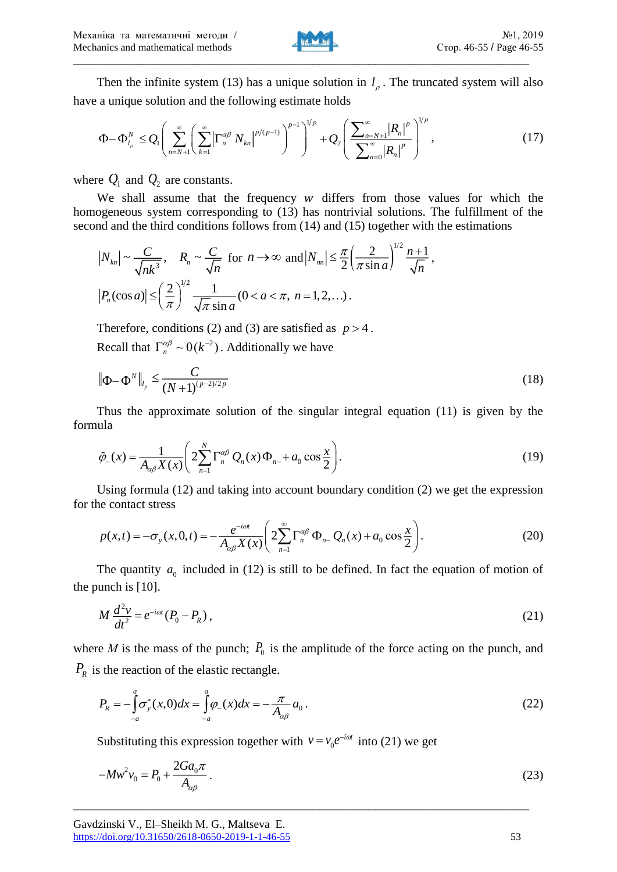

Then the infinite system (13) has a unique solution in  $l<sub>\rho</sub>$ . The truncated system will also have a unique solution and the following estimate holds

$$
\Phi - \Phi_{l_{\rho}}^{N} \leq Q_{l} \left( \sum_{n=N+1}^{\infty} \left( \sum_{k=1}^{\infty} \left| \Gamma_{n}^{\alpha\beta} N_{kn} \right|^{p/(p-1)} \right)^{p-1} \right)^{1/p} + Q_{2} \left( \frac{\sum_{n=N+1}^{\infty} \left| R_{n} \right|^{p}}{\sum_{n=0}^{\infty} \left| R_{n} \right|^{p}} \right)^{1/p}, \tag{17}
$$

where  $Q_1$  and  $Q_2$  are constants.

We shall assume that the frequency  $w$  differs from those values for which the homogeneous system corresponding to (13) has nontrivial solutions. The fulfillment of the second and the third conditions follows from (14) and (15) together with the estimations

$$
|N_{kn}| \sim \frac{C}{\sqrt{nk^3}}, \quad R_n \sim \frac{C}{\sqrt{n}} \text{ for } n \to \infty \text{ and } |N_{nn}| \le \frac{\pi}{2} \left(\frac{2}{\pi \sin a}\right)^{1/2} \frac{n+1}{\sqrt{n}},
$$
  

$$
|P_n(\cos a)| \le \left(\frac{2}{\pi}\right)^{1/2} \frac{1}{\sqrt{\pi} \sin a} (0 < a < \pi, n = 1, 2, ...).
$$

Therefore, conditions (2) and (3) are satisfied as  $p > 4$ . Recall that  $\Gamma_n^{\alpha\beta} \sim 0(k^{-2})$ . Additionally we have

$$
\left\| \Phi - \Phi^N \right\|_{l_p} \le \frac{C}{(N+1)^{(p-2)/2p}} \tag{18}
$$

Thus the approximate solution of the singular integral equation (11) is given by the formula

$$
\tilde{\varphi}_{-}(x) = \frac{1}{A_{\alpha\beta}X(x)} \left( 2 \sum_{n=1}^{N} \Gamma_{n}^{\alpha\beta} Q_{n}(x) \Phi_{n-} + a_0 \cos \frac{x}{2} \right). \tag{19}
$$

Using formula (12) and taking into account boundary condition (2) we get the expression for the contact stress

$$
p(x,t) = -\sigma_y(x,0,t) = -\frac{e^{-i\omega t}}{A_{\alpha\beta}X(x)} \left( 2\sum_{n=1}^{\infty} \Gamma_n^{\alpha\beta} \Phi_{n-} Q_n(x) + a_0 \cos \frac{x}{2} \right). \tag{20}
$$

The quantity  $a_0$  included in (12) is still to be defined. In fact the equation of motion of the punch is [10].

$$
M\frac{d^2v}{dt^2} = e^{-i\omega t}(P_0 - P_R),
$$
\n(21)

where *M* is the mass of the punch;  $P_0$  is the amplitude of the force acting on the punch, and *PR* is the reaction of the elastic rectangle.

$$
P_R = -\int_{-a}^{a} \sigma_y^*(x,0)dx = \int_{-a}^{a} \varphi_x(x)dx = -\frac{\pi}{A_{\alpha\beta}}a_0.
$$
 (22)

Substituting this expression together with  $v = v_0 e^{-i\omega t}$  into (21) we get

$$
-Mw^2v_0 = P_0 + \frac{2Ga_0\pi}{A_{\alpha\beta}}.
$$
\n(23)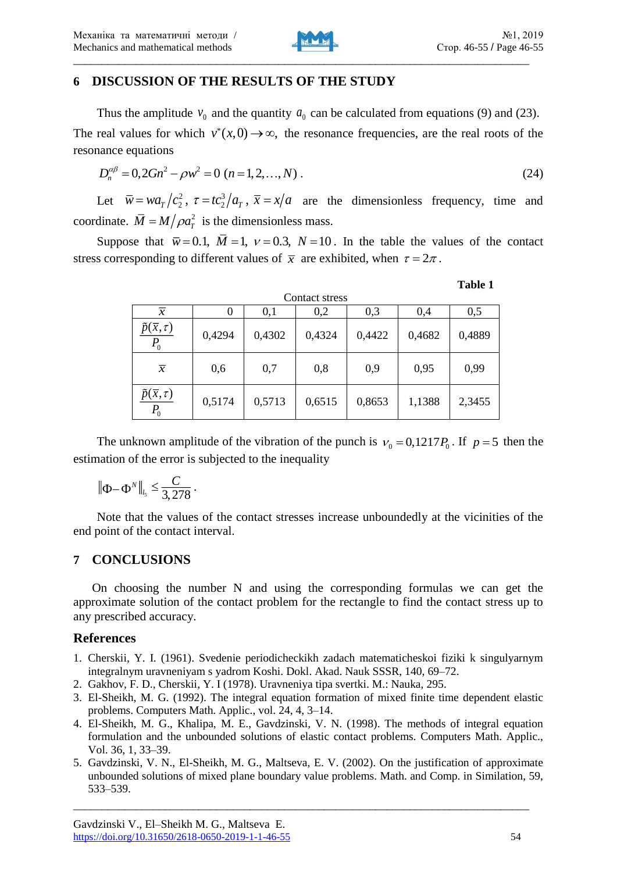

### **6 DISCUSSION OF THE RESULTS OF THE STUDY**

Thus the amplitude  $v_0$  and the quantity  $a_0$  can be calculated from equations (9) and (23). The real values for which  $v^*(x,0) \to \infty$ , the resonance frequencies, are the real roots of the resonance equations

$$
D_n^{\alpha\beta} = 0, 2Gn^2 - \rho w^2 = 0 \quad (n = 1, 2, ..., N) \tag{24}
$$

Let  $\overline{w} = wa_T/c_2^2$ ,  $\tau = tc_2^3/a_T$ ,  $\overline{x} = x/a$  are the dimensionless frequency, time and coordinate.  $\overline{M} = M/\rho a_T^2$  is the dimensionless mass.

Suppose that  $\bar{w} = 0.1$ ,  $M = 1$ ,  $v = 0.3$ ,  $N = 10$ . In the table the values of the contact stress corresponding to different values of  $\bar{x}$  are exhibited, when  $\tau = 2\pi$ .

| ١<br>Н<br>ш<br>× |  |
|------------------|--|
|------------------|--|

| Contact stress                        |        |        |        |        |        |        |  |  |
|---------------------------------------|--------|--------|--------|--------|--------|--------|--|--|
| $\overline{x}$                        | 0      | 0,1    | 0,2    | 0,3    | 0,4    | 0,5    |  |  |
| $\tilde{p}(\bar{x}, \tau)$<br>$P_{0}$ | 0,4294 | 0,4302 | 0,4324 | 0,4422 | 0,4682 | 0,4889 |  |  |
| $\overline{x}$                        | 0,6    | 0,7    | 0,8    | 0,9    | 0,95   | 0,99   |  |  |
| $\tilde{p}(\bar{x}, \tau)$<br>$P_{0}$ | 0,5174 | 0,5713 | 0,6515 | 0,8653 | 1,1388 | 2,3455 |  |  |

The unknown amplitude of the vibration of the punch is  $v_0 = 0.1217 P_0$ . If  $p = 5$  then the estimation of the error is subjected to the inequality

$$
\|\Phi - \Phi^N\|_{l_5} \leq \frac{C}{3,278}.
$$

Note that the values of the contact stresses increase unboundedly at the vicinities of the end point of the contact interval.

#### **7 CONCLUSIONS**

On choosing the number N and using the corresponding formulas we can get the approximate solution of the contact problem for the rectangle to find the contact stress up to any prescribed accuracy.

#### **References**

- 1. Cherskii, Y. I. (1961). Svedenie periodicheckikh zadach matematicheskoi fiziki k singulyarnym integralnym uravneniyam s yadrom Koshi. Dokl. Akad. Nauk SSSR, 140, 69–72.
- 2. Gakhov, F. D., Cherskii, Y. I (1978). Uravneniya tipa svertki. M.: Nauka, 295.
- 3. El-Sheikh, M. G. (1992). The integral equation formation of mixed finite time dependent elastic problems. Computers Math. Applic., vol. 24, 4, 3–14.
- 4. El-Sheikh, M. G., Khalipa, M. E., Gavdzinski, V. N. (1998). The methods of integral equation formulation and the unbounded solutions of elastic contact problems. Computers Math. Applic., Vol. 36, 1, 33–39.
- 5. Gavdzinski, V. N., El-Sheikh, M. G., Maltseva, E. V. (2002). On the justification of approximate unbounded solutions of mixed plane boundary value problems. Math. and Comp. in Similation, 59, 533–539.